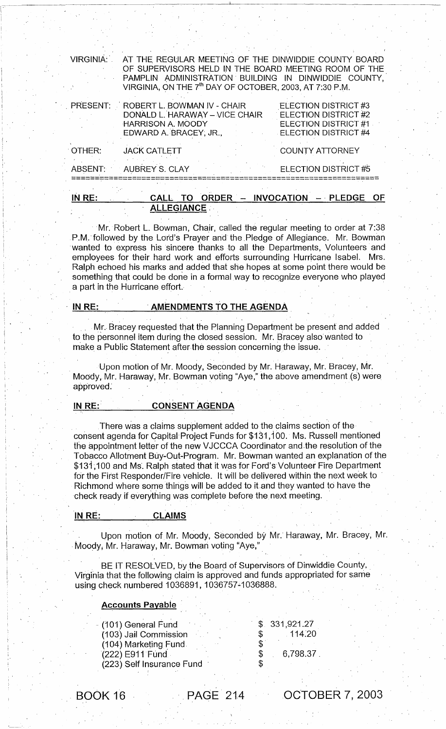| IN RE:<br>ORDER - INVOCATION - PLEDGE<br><b>OF</b><br>CALL<br>TO.<br><b>ALLEGIANCE:</b> |                                                                                                                                                                                                                                             |                                                                                                            |  |  |
|-----------------------------------------------------------------------------------------|---------------------------------------------------------------------------------------------------------------------------------------------------------------------------------------------------------------------------------------------|------------------------------------------------------------------------------------------------------------|--|--|
|                                                                                         | ABSENT: AUBREY S. CLAY                                                                                                                                                                                                                      | ELECTION DISTRICT #5                                                                                       |  |  |
| OTHER:                                                                                  | <b>JACK CATLETT</b>                                                                                                                                                                                                                         | <b>COUNTY ATTORNEY</b>                                                                                     |  |  |
|                                                                                         | PRESENT: ROBERT L. BOWMAN IV - CHAIR<br>DONALD L. HARAWAY - VICE CHAIR<br><b>HARRISON A. MOODY</b><br>EDWARD A. BRACEY, JR.,                                                                                                                | ELECTION DISTRICT #3<br><b>ELECTION DISTRICT #2</b><br>ELECTION DISTRICT #1<br><b>ELECTION DISTRICT #4</b> |  |  |
| VIRGINIA:                                                                               | AT THE REGULAR MEETING OF THE DINWIDDIE COUNTY BOARD<br>OF SUPERVISORS HELD IN THE BOARD MEETING ROOM OF THE<br>PAMPLIN ADMINISTRATION BUILDING IN DINWIDDIE COUNTY,<br>VIRGINIA, ON THE 7 <sup>th</sup> DAY OF OCTOBER, 2003, AT 7:30 P.M. |                                                                                                            |  |  |

Mr. Robert L. Bowman, Chair, called the regular meeting to order at 7:38 P.M. followed by the Lord's Prayer and the Pledge of Allegiance. Mr. Bowman wanted to express his sincere thanks to all the Departments, Volunteers and employees for their hard work and efforts surrounding Hurricane Isabel. Mrs. Ralph echoed his marks and added that she hopes at some point there would be something that could be done in a formal way to recognize everyone who played a part in the Hurricane effort.

I;C --------------

 $, \cdot$   $, \cdot$ ,

# IN RE: AMENDMENTS TO THE AGENDA

Mr. Bracey requested that the Planning Department be present and added to the personnel item during the closed session. Mr. Bracey also'wanted to make a Public Statement after the session concerning the issue.

Upon motion of Mr. Moody, Seconded by Mr. Haraway, Mr. Bracey, Mr. Moody, Mr. Haraway, Mr. Bowman voting "Aye," the above amendment (s) were approved:

# IN RE: CONSENT AGENDA

There was a claims supplement added to the claims section of the consent agenda for Capital'Project Funds for\$131 ,100. Ms. Russell mentioned the appointment letter of the new VJCCCA Coordinator and,the resolution of the Tobacco Allotment Buy-Out-Program. Mr. Bowman wanted an explanation of the \$131,100 and Ms. Ralph stated that it was for Ford's Volunteer Fire Department for the First Responder/Fire vehicle. It will be delivered within the next week to ' Richmond where some things will be added to it and they wanted to have the check ready if everything was complete before the next meeting.

#### IN RE: CLAIMS

Upon motion of Mr. Moody, Seconded by Mr. Haraway, Mr. Bracey, Mr. Moody, Mr. Haraway, Mr. Bowman voting "Aye,"

BE IT RESOLVED, by the Board of Supervisors of Dinwiddie County, Virginia that the following claim is approved and funds appropriated for same using check numbered 1036891, 1036757-1036888.

#### **Accounts Payable**

| (101) General Fund        | \$.331,921.27 |
|---------------------------|---------------|
| (103) Jail Commission     | 114.20        |
| (104) Marketing Fund      |               |
| (222) E911 Fund           | 6,798.37      |
| (223) Self Insurance Fund |               |

BOOK 16 PAGE 214

OCTOBER 7, 2003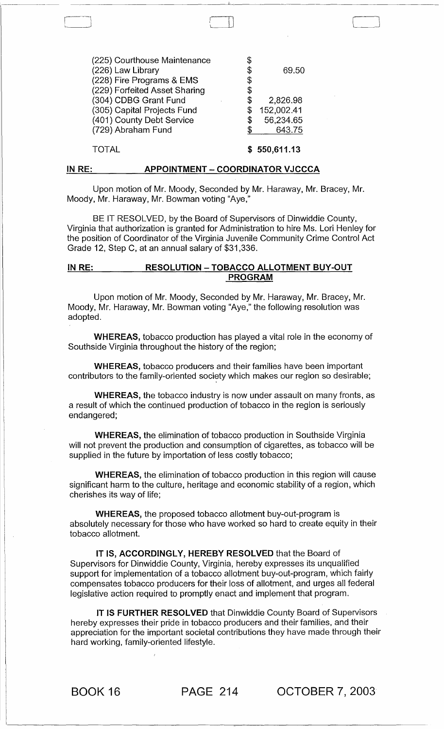| (225) Courthouse Maintenance  |    |            |
|-------------------------------|----|------------|
| (226) Law Library             | \$ | 69.50      |
| (228) Fire Programs & EMS     | \$ |            |
| (229) Forfeited Asset Sharing | \$ |            |
| (304) CDBG Grant Fund         | \$ | 2,826.98   |
| (305) Capital Projects Fund   | S  | 152,002.41 |
| (401) County Debt Service     | \$ | 56,234.65  |
| (729) Abraham Fund            | S. | 643.75     |
|                               |    |            |

 $\mathbb L$ 

#### TOTAL \$550,611.13

#### IN RE: APPOINTMENT - COORDINATOR VJCCCA

Upon motion of Mr. Moody, Seconded by Mr. Haraway, Mr. Bracey, Mr. Moody, Mr. Haraway, Mr. Bowman voting "Aye,"

BE IT RESOLVED, by the Board of Supervisors of Dinwiddie County, Virginia that authorization is granted for Administration to hire Ms. Lori Henley for the position of Coordinator of the Virginia Juvenile Community Crime Control Act Grade 12, Step C, at an annual salary of \$31,336.

## IN RE: RESOLUTION - TOBACCO ALLOTMENT BUY-OUT PROGRAM

Upon motion of Mr. Moody, Seconded by Mr. Haraway, Mr. Bracey, Mr. Moody, Mr. Haraway, Mr. Bowman voting "Aye," the following resolution was adopted.

WHEREAS, tobacco production has played a vital role in the economy of Southside Virginia throughout the history of the region;

WHEREAS, tobacco producers and their families have been important contributors to the family-oriented society which makes our region so desirable;

WHEREAS, the tobacco industry is now under assault on many fronts, as a result of which the continued production of tobacco in the region is seriously endangered;

WHEREAS, the elimination of tobacco production in Southside Virginia will not prevent the production and consumption of cigarettes, as tobacco will be supplied in the future by importation of less costly tobacco;

WHEREAS, the elimination of tobacco production in this region will cause significant harm to the culture, heritage and economic stability of a region, which cherishes its way of life;

WHEREAS, the proposed tobacco allotment buy-out-program is absolutely necessary for those who have worked so hard to create equity in their tobacco allotment.

IT IS, ACCORDINGLY, HEREBY RESOLVED that the Board of Supervisors for Dinwiddie County, Virginia, hereby expresses its unqualified support for implementation of a tobacco allotment buy-out-program, which fairly compensates tobacco producers for their loss of allotment, and urges all federal legislative action required to promptly enact and implement that program.

IT IS FURTHER RESOLVED that Dinwiddie County Board of Supervisors hereby expresses their pride in tobacco producers and their families, and their appreciation for the important societal contributions they have made through their hard working, family-oriented lifestyle.

BOOK 16 PAGE 214 OCTOBER 7, 2003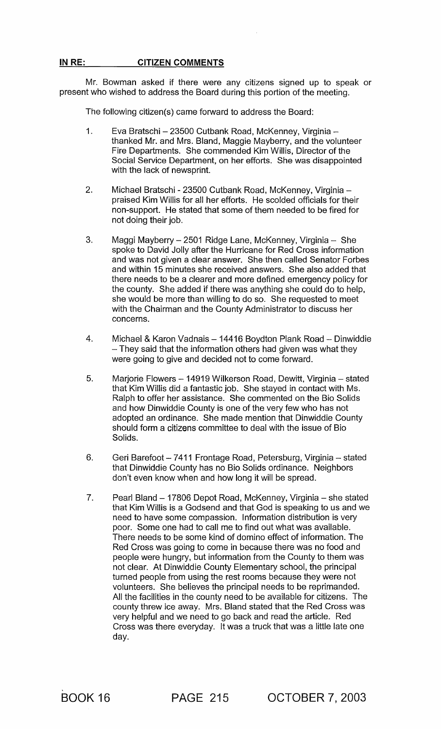# **IN** RE: **CITIZEN COMMENTS**

Mr. Bowman asked if there were any citizens signed up to speak or present who wished to address the Board during this portion of the meeting.

The following citizen(s) came forward to address the Board:

- 1. Eva Bratschi 23500 Cutbank Road, McKenney, Virginia thanked Mr. and Mrs. Bland, Maggie Mayberry, and the volunteer Fire Departments. She commended Kim Willis, Director of the Social Service Department, on her efforts. She was disappointed with the lack of newsprint.
- 2. Michael Bratschi 23500 Cutbank Road, McKenney, Virginia praised Kim Willis for all her efforts. He scolded officials for their non-support. He stated that some of them needed to be fired for not doing their job.
- 3. Maggi Mayberry 2501 Ridge Lane, McKenney, Virginia She spoke to David Jolly after the Hurricane for Red Cross information and was not given a clear answer. She then called Senator Forbes and within 15 minutes she received answers. She also added that there needs to be a clearer and more defined emergency policy for the county. She added if there was anything she could do to help, she would be more than willing to do so. She requested to meet with the Chairman and the County Administrator to discuss her concerns.
- 4. Michael & Karon Vadnais 14416 Boydton Plank Road Dinwiddie - They said that the information others had given was what they were going to give and decided not to come forward.
- 5. Marjorie Flowers 14919 Wilkerson Road, Dewitt, Virginia stated that Kim Willis did a fantastic job. She stayed in contact with Ms. Ralph to offer her assistance. She commented on the Bio Solids and how Dinwiddie County is one of the very few who has not adopted an ordinance. She made mention that Dinwiddie County should form a citizens committee to deal with the issue of Bio Solids.
- 6. Geri Barefoot 7411 Frontage Road, Petersburg, Virginia stated that Dinwiddie County has no Bio Solids ordinance. Neighbors don't even know when and how long it will be spread.
- 7. Pearl Bland 17806 Depot Road, McKenney, Virginia she stated that Kim Willis is a Godsend and that God is speaking to us and we need to have some compassion. Information distribution is very poor. Some one had to call me to find out what was available. There needs to be some kind of domino effect of information. The Red Cross was going to come in because there was no food and people were hungry, but information from the County to them was not clear. At Dinwiddie County Elementary school, the principal turned people from using the rest rooms because they were not volunteers. She believes the principal needs to be reprimanded. All the facilities in the county need to be available for citizens. The county threw ice away. Mrs. Bland stated that the Red Cross was very helpful and we need to go back and read the article. Red Cross was there everyday. It was a truck that was a little late one day.

BOOK 16 PAGE 215 OCTOBER 7,2003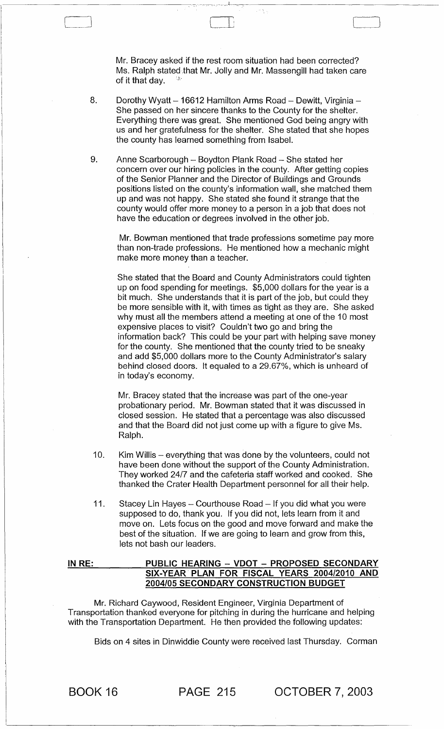Mr. Bracey asked if the rest room situation had been corrected? Ms. Ralph stated that Mr. Jolly and Mr. Massengill had taken care of it that day.

 $\Box$ 

- 8. Dorothy Wyatt 16612 Hamilton Arms Road Dewitt, Virginia -She passed on her sincere thanks to the County for the shelter. Everything there was great. She mentioned God being angry with us and her gratefulness for the shelter. She stated that she hopes the county has learned something from Isabel.
- 9. Anne Scarborough Boydton Plank Road She stated her concern over our hiring policies in the county. After getting copies of the Senior Planner and the Director of Buildings and Grounds positions listed on the county's information wall, she matched them up and was not happy. She stated she found it strange that the county would offer more money to a person in a job that does not have the education or degrees involved in the other job.

Mr. Bowman mentioned that trade professions sometime pay more than non-trade professions. He mentioned how a mechanic might make more money than a teacher.

She stated that the Board and County Administrators could tighten up on food spending for meetings. \$5,000 dollars for the year is a bit much. She understands that it is part of the job, but could they be more sensible with it, with times as tight as they are. She asked why must all the members attend a meeting at one of the 10 most expensive places to visit? Couldn't two go and bring the information back? This could be your part with helping save money for the county. She mentioned that the county tried to be sneaky and add \$5,000 dollars more to the County Administrator's salary behind closed doors. It equaled to a 29.67%, which is unheard of in today's economy.

Mr. Bracey stated that the increase was part of the one-year probationary period. Mr. Bowman stated that it was discussed in closed session. He stated that a percentage was also discussed and that the Board did not just come up with a figure to give Ms. Ralph.

- 10. Kim Willis everything that was done by the volunteers, could not have been done without the support of the County Administration. They worked *24/7* and the cafeteria staff worked and cooked. She thanked the Crater Health Department personnel for all their help.
- 11. Stacey Lin Hayes Courthouse Road If you did what you were supposed to do, thank you. If you did not, lets learn from it and move on. Lets focus on the good and move forward and make the best of the situation. If we are going to learn and grow from this, lets not bash our leaders.

## IN RE: PUBLIC HEARING - VDOT - PROPOSED SECONDARY SIX-YEAR· PLAN FOR FISCAL YEARS *2004/2010* AND *2004/05* SECONDARY CONSTRUCTION BUDGET

Mr. Richard Caywood, Resident Engineer, Virginia Department of Transportation thanked everyone for pitching in during the hurricane and helping with the Transportation Department. He then provided the following updates:

Bids on 4 sites in Dinwiddie County were received last Thursday. Corman

BOOK 16 PAGE 215 OCTOBER 7, 2003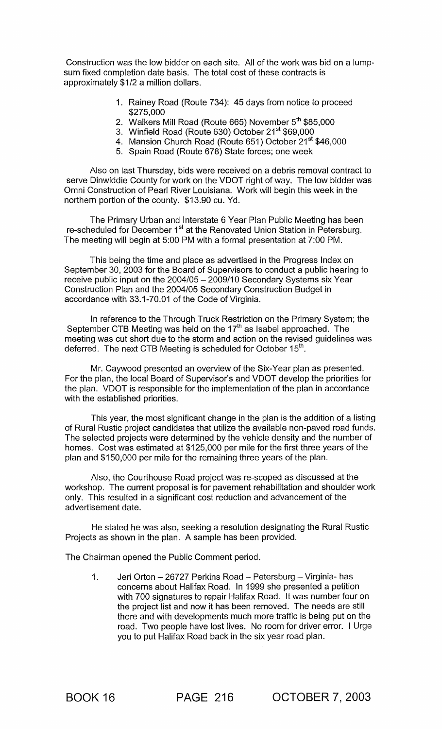Construction was the low bidder on each site. All of the work was bid on a lumpsum fixed completion date basis. The total cost of these contracts is approximately \$1/2 a million dollars.

- 1. Rainey Road (Route 734): 45 days from notice to proceed \$275,000
- 2. Walkers Mill Road (Route 665) November 5<sup>th</sup> \$85,000
- 3. Winfield Road (Route 630) October 21<sup>st</sup> \$69,000
- 4. Mansion Church Road (Route 651) October 21<sup>st</sup> \$46,000
- 5. Spain Road (Route 678) State forces; one week

Also on last Thursday, bids were received on a debris removal contract to serve Dinwiddie County for work on the VDOT right of way. The low bidder was Omni Construction of Pearl River Louisiana. Work will begin this week in the northern portion of the county. \$13.90 cu. Yd.

The Primary Urban and Interstate 6 Year Plan Public Meeting has been re-scheduled for December 1<sup>st</sup> at the Renovated Union Station in Petersburg. The meeting will begin at 5:00 PM with a formal presentation at 7:00 PM.

This being the time and place as advertised in the Progress Index on September 30, 2003 for the Board of Supervisors to conduct a public hearing to receive public input on the 2004/05 - 2009/10 Secondary Systems six Year Construction Plan and the 2004/05 Secondary Construction Budget in accordance with 33.1-70.01 of the Code of Virginia.

In reference to the Through Truck Restriction on the Primary System; the September CTB Meeting was held on the 17<sup>th</sup> as Isabel approached. The meeting was cut short due to the storm and action on the revised guidelines was deferred. The next CTB Meeting is scheduled for October 15<sup>th</sup>.

Mr. Caywood presented an overview of the Six-Year plan as presented. For the plan, the local Board of Supervisor's and VDOT develop the priorities for the plan. VDOT is responsible for the implementation of the plan in accordance with the established priorities.

This year, the most significant change in the plan is the addition of a listing of Rural Rustic project candidates that utilize the available non-paved road funds. The selected projects were determined by the vehicle density and the number of homes. Cost was estimated at \$125,000 per mile for the first three years of the plan and \$150,000 per mile for the remaining three years of the plan.

Also, the Courthouse Road project was re-scoped as discussed at the workshop. The current proposal is for pavement rehabilitation and shoulder work only. This resulted in a significant cost reduction and advancement of the advertisement date.

He stated he was also, seeking a resolution designating the Rural Rustic Projects as shown in the plan. A sample has been provided.

The Chairman opened the Public Comment period.

1. Jeri Orton - 26727 Perkins Road - Petersburg - Virginia- has concerns about Halifax Road. In 1999 she presented a petition with 700 signatures to repair Halifax Road. It was number four on the project list and now it has been removed. The needs are still there and with developments much more traffic is being put on the road. Two people have lost lives. No room for driver error. I Urge you to put Halifax Road back in the six year road plan.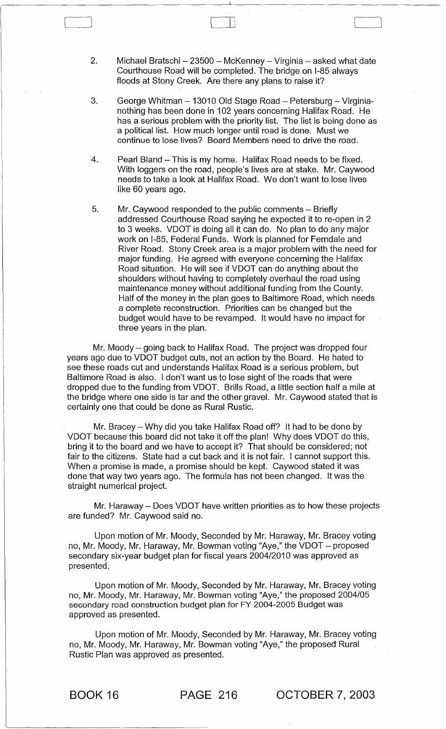2. Michael Bratschi - 23500 - McKenney - Virginia - asked what date Courthouse Road will be completed. The bridge on 1-85 always floods at Stony Creek. Are there any plans to raise it?

 $\Box$ 

- 3. George Whitman 13010 Old Stage Road Petersburg Virginianothing has been done in 102 years concerning Halifax Road. He has a serious problem with the priority list. The list is being done as a political list. How much longer until road is done. Must we continue to lose lives? Board Members need to drive the road.
- 4. Pearl Bland This is my home. Halifax Road needs to be fixed. With loggers on the road, people's lives are at stake. Mr. Caywood needs to take a look at Halifax Road. We don't want to lose lives like 60 years ago.
- 5. Mr. Caywood responded to the public comments Briefly addressed Courthouse Road saying he expected it to re-open in 2 to 3 weeks. VDOT is doing all it can do. No plan to do any major work on 1-85, Federal Funds. Work is planned for Ferndale and River Road. Stony Creek area is a major problem with the need for major funding. He agreed with everyone concerning the Halifax Road situation. He will see if VDOT can do anything about the shoulders without having to completely overhaul the road using maintenance money without additional funding from the County. Half of the money in the plan goes to Baltimore Road, which needs a complete reconstruction. Priorities can be changed but the budget would have to be revamped. It would have no impact for three years in the plan.

Mr. Moody  $-$  going back to Halifax Road. The project was dropped four years ago due to VDOT budget cuts, not an action by the Board. He hated to see these roads cut and understands Halifax Road is a serious problem, but Baltimore Road is also. I don't want us to lose sight of the roads that were dropped due to the funding from VDOT. Brills Road, a little section half a mile at the bridge where one side is tar and the other gravel. Mr. Caywood stated that is certainly one that could be done as Rural Rustic.

Mr. Bracey - Why did you take Halifax Road off? It had to be done by VDOT because this board did not take it off the plan! Why does VDOT do this, bring it to the board and we have to accept it? That should be considered; not fair to the citizens. State had a cut back and it is not fair. I cannot support this. When a promise is made, a promise should be kept. Caywood stated it was done that way two years ago. The formula has not been changed. It was the straight numerical project.

Mr. Haraway - Does VDOT have written priorities as to how these projects are funded? Mr. Caywood said no.

Upon motion of Mr. Moody, Seconded by Mr. Haraway, Mr. Bracey voting no, Mr. Moody, Mr. Haraway, Mr. Bowman voting "Aye," the VDOT - proposed secondary six-year budget plan for fiscal years 2004/2010 was approved as presented.

Upon motion of Mr. Moody, Seconded by Mr. Haraway, Mr. Bracey voting no, Mr. Moody, Mr. Haraway, Mr. Bowman voting "Aye," the proposed 2004/05 secondary road construction budget plan for FY 2004-2005 Budget was approved as presented.

Upon motion of Mr. Moody, Seconded by Mr. Haraway, Mr. Bracey voting no, Mr. Moody, Mr. Haraway, Mr. Bowman voting "Aye," the proposed Rural Rustic Plan was approved as presented.

BOOK 16 PAGE 216 OCTOBER 7,2003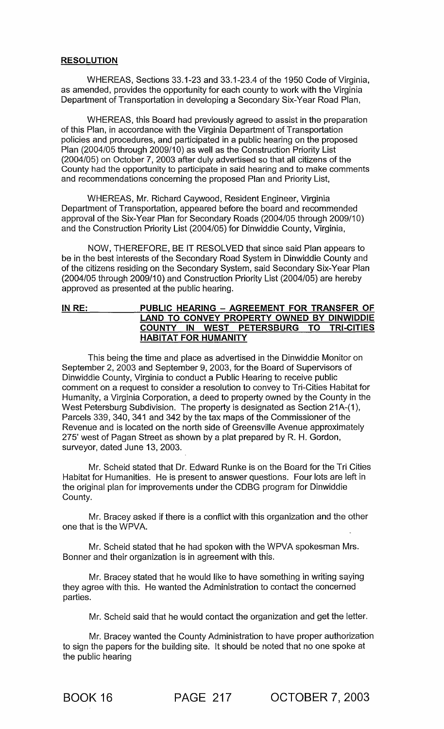#### RESOLUTION

WHEREAS, Sections 33.1-23 and 33.1-23.4 of the 1950 Code of Virginia, as amended, provides the opportunity for each county to work with the Virginia Department of Transportation in developing a Secondary Six-Year Road Plan,

WHEREAS, this Board had previously agreed to assist in the preparation of this Plan, in accordance with the Virginia Department of Transportation policies and procedures, and participated in a public hearing on the proposed Plan (2004/05 through 2009/10) as well as the Construction Priority List (2004/05) on October 7,2003 after duly advertised so that all citizens of the County had the opportunity to participate in said hearing and to make comments and recommendations concerning the proposed Plan and Priority List,

WHEREAS, Mr. Richard Caywood, Resident Engineer, Virginia Department of Transportation, appeared before the board and recommended approval of the Six-Year Plan for Secondary Roads (2004/05 through 2009/10) and the Construction Priority List (2004/05) for Dinwiddie County, Virginia,

NOW, THEREFORE, BE IT RESOLVED that since said Plan appears to be in the best interests of the Secondary Road System in Dinwiddie County and of the citizens residing on the Secondary System, said Secondary Six-Year Plan (2004/05 through 2009/10) and Construction Priority List (2004/05) are hereby approved as presented at the public hearing.

## IN RE: PUBLIC HEARING - AGREEMENT FOR TRANSFER OF LAND TO CONVEY PROPERTY OWNED BY DINWIDDIE COUNTY IN WEST PETERSBURG TO TRI-CITIES HABITAT FOR HUMANITY

This being the time and place as advertised in the Dinwiddie Monitor on September 2, 2003 and September 9, 2003, for the Board of Supervisors of Dinwiddie County, Virginia to conduct a Public Hearing to receive public comment on a request to consider a resolution to convey to Tri-Cities Habitat for Humanity, a Virginia Corporation, a deed to property owned by the County in the West Petersburg Subdivision. The property is designated as Section 21A-(1), Parcels 339, 340, 341 and 342 by the tax maps of the Commissioner of the Revenue and is located on the north side of Greensville Avenue approximately 275' west of Pagan Street as shown by a plat prepared by R. H. Gordon, surveyor, dated June 13, 2003.

Mr. Scheid stated that Dr. Edward Runke is on the Board for the Tri Cities Habitat for Humanities. He is present to answer questions. Four lots are left in the original plan for improvements under the CDBG program for Dinwiddie County.

Mr. Bracey asked if there is a conflict with this organization and the other one that is the WPVA.

Mr. Scheid stated that he had spoken with the WPVA spokesman Mrs. Bonner and their organization is in agreement with this.

Mr. Bracey stated that he would like to have something in writing saying they agree with this. He wanted the Administration to contact the concerned parties.

Mr. Scheid said that he would contact the organization and get the letter.

Mr. Bracey wanted the County Administration to have proper authorization to sign the papers for the building site. It should be noted that no one spoke at the public hearing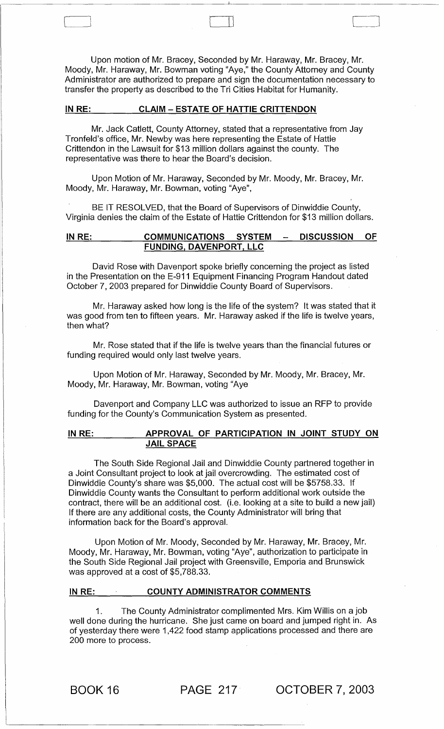Upon motion of Mr. Bracey, Seconded by Mr. Haraway, Mr. Bracey, Mr. Moody, Mr. Haraway, Mr. Bowman voting "Aye," the County Attorney and County Administrator are authorized to prepare and sign the documentation necessary to transfer the property as described to the Tri Cities Habitat for Humanity.

t ill leaders and the set of the set of the set of the set of the set of the set of the set of the set of the

## IN RE: CLAIM - ESTATE OF HATTIE CRITTENDON

Mr. Jack Catlett, County Attorney, stated that a representative from Jay Tronfeld's office, Mr. Newby was here representing the Estate of Hattie Crittendon in the Lawsuit for \$13 million dollars against the county. The representative was there to hear the Board's decision.

Upon Motion of Mr. Haraway, Seconded by Mr. Moody, Mr. Bracey, Mr. Moody, Mr. Haraway, Mr. Bowman, voting "Aye",

BE IT RESOLVED, that the Board of Supervisors of Dinwiddie County, Virginia denies the claim of the Estate of Hattie Crittendon for \$13 million dollars.

#### IN RE: COMMUNICATIONS SYSTEM - DISCUSSION OF FUNDING, DAVENPORT, LLC

David Rose with Davenport spoke briefly concerning the project as listed in the Presentation on the E-911 Equipment Financing Program Handout dated October 7, 2003 prepared for Dinwiddie County Board of Supervisors.

Mr. Haraway asked how long is the life of the system? It was stated that it was good from ten to fifteen years. Mr. Haraway asked if the life is twelve years, then what?

Mr. Rose stated that if the life is twelve years than the financial futures or funding required would only last twelve years.

Upon Motion of Mr. Haraway, Seconded by Mr. Moody, Mr. Bracey, Mr. Moody, Mr. Haraway, Mr. Bowman, voting "Aye

Davenport and Company LLC was authorized to issue an RFP to provide funding for the County's Communication System as presented.

# IN RE: APPROVAL OF PARTICIPATION IN JOINT STUDY ON JAIL SPACE

The South Side Regional Jail and Dinwiddie County partnered together in a Joint Consultant project to look at jail overcrowding. The estimated cost of Dinwiddie County's share was \$5,000. The actual cost will be \$5758.33. If Dinwiddie County wants the Consultant to perform additional work outside the contract, there will be an additional cost. (i.e. looking at a site to build a new jail) If there are any additional costs, the County Administrator will bring that information back for the Board's approval.

Upon Motion of Mr. Moody, Seconded by Mr. Haraway, Mr. Bracey, Mr. Moody, Mr. Haraway, Mr. Bowman, voting "Aye", authorization to participate in the South Side Regional Jail project with Greensville, Emporia and Brunswick was approved at a cost of \$5,788.33.

#### IN RE: COUNTY ADMINISTRATOR COMMENTS

1. The County Administrator complimented Mrs. Kim Willis on a job well done during the hurricane. She just came on board and jumped right in. As of yesterday there were 1,422 food stamp applications processed and there are 200 more to process.

BOOK 16 PAGE 217 OCTOBER 7, 2003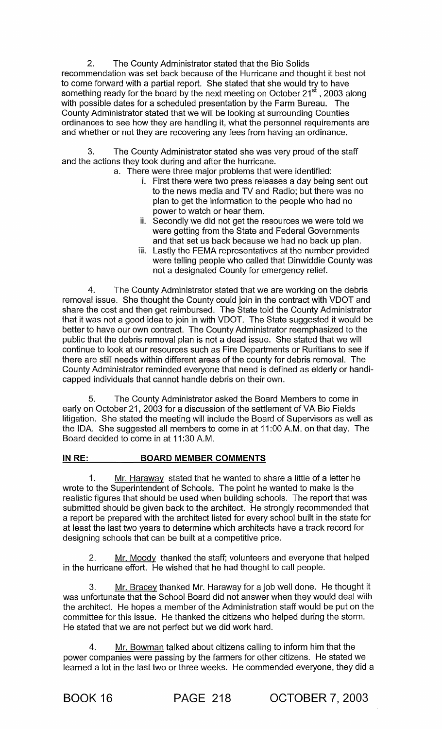2. The County Administrator stated that the Bio Solids recommendation was set back because of the Hurricane and thought it best not to come forward with a partial report. She stated that she would try to have something ready for the board by the next meeting on October 21<sup>st</sup> , 2003 along with possible dates for a scheduled presentation by the Farm Bureau. The County Administrator stated that we will be looking at surrounding Counties ordinances to see how they are handling it, what the personnel requirements are and whether or not they are recovering any fees from having an ordinance.

3. The County Administrator stated she was very proud of the staff and the actions they took during and after the hurricane.

- a. There were three major problems that were identified:
	- i. First there were two press releases a day being sent out to the news media and TV and Radio; but there was no plan to get the information to the people who had no power to watch or hear them.
	- ii. Secondly we did not get the resources we were told we were getting from the State and Federal Governments and that set us back because we had no back up plan.
	- iii. Lastly the FEMA representatives at the number provided were telling people who called that Dinwiddie County was not a designated County for emergency relief.

4. The County Administrator stated that we are working on the debris removal issue. She thought the County could join in the contract with VDOT and share the cost and then get reimbursed. The State told the County Administrator that it was not a good idea to join in with VDOT. The State suggested it would be better to have our own contract. The County Administrator reemphasized to the public that the debris removal plan is not a dead issue. She stated that we will continue to look at our resources such as Fire Departments or Ruritians to see if there are still needs within different areas of the county for debris removal. The County Administrator reminded everyone that need is defined as elderly or handicapped individuals that cannot handle debris on their own.

5. The County Administrator asked the Board Members to come in early on October 21, 2003 for a discussion of the settlement of VA Bio Fields litigation. She stated the meeting will include the Board of Supervisors as well as the IDA. She suggested all members to come in at 11:00 A.M. on that day. The Board decided to come in at 11 :30 AM.

# IN RE: BOARD MEMBER COMMENTS

1. Mr. Haraway stated that he wanted to share a little of a letter he wrote to the Superintendent of Schools. The point he wanted to make is the realistic figures that should be used when building schools. The report that was submitted should be given back to the architect. He strongly recommended that a report be prepared with the architect listed for every school built in the state for at least the last two years to determine which architects have a track record for designing schools that can be built at a competitive price.

2. Mr. Moody thanked the staff; volunteers and everyone that helped in the hurricane effort. He wished that he had thought to call people.

3. Mr. Bracey thanked Mr. Haraway for a job well done. He thought it was unfortunate that the School Board did not answer when they would deal with the architect. He hopes a member of the Administration staff would be put on the committee for this issue. He thanked the citizens who helped during the storm. He stated that we are not perfect but we did work hard.

4. Mr. Bowman talked about citizens calling to inform him that the power companies were passing by the farmers for other citizens. He stated we learned a lot in the last two or three weeks. He commended everyone, they did a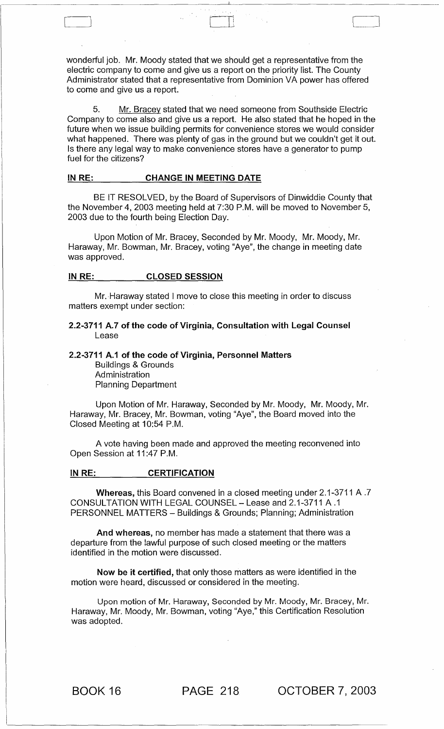wonderful job. Mr. Moody stated that we should get a representative from the electric company to come and give us a report on the priority list. The County Administrator stated that a representative from Dominion VA power has offered to come and give us a report.

 $\Box$ 

5. Mr. Bracey stated that we need someone from Southside Electric Company to come also and give us a report. He also stated that he hoped in the future when we issue building permits for convenience stores we would consider what happened. There was plenty of gas in the ground but we couldn't get it out. Is there any legal way to make convenience stores have a generator to pump fuel for the citizens?

#### IN RE: CHANGE IN MEETING DATE

BE IT RESOLVED, by the Board of Supervisors of Dinwiddie County that the November 4,2003 meeting held at 7:30 P.M. will be moved to November 5, 2003 due to the fourth being Election Day.

Upon Motion of Mr. Bracey, Seconded by Mr. Moody, Mr. Moody, Mr. Haraway, Mr. Bowman, Mr. Bracey, voting "Aye", the change in meeting date was approved.

#### IN RE: CLOSED SESSION

Mr. Haraway stated I move to close this meeting in order to discuss matters exempt under section:

#### 2.2-3711 A.7 of the code of Virginia, Consultation with Legal Counsel Lease

#### 2.2-3711 A.1 of the code of Virginia, Personnel Matters

Buildings & Grounds Administration Planning Department

Upon Motion of Mr. Haraway, Seconded by Mr. Moody, Mr. Moody, Mr. Haraway, Mr. Bracey, Mr. Bowman, voting "Aye", the Board moved into the Closed Meeting at 10:54 P.M.

A vote having been made and approved the meeting reconvened into Open Session at 11:47 P.M.

#### IN RE: **CERTIFICATION**

Whereas, this Board convened in a closed meeting under 2.1-3711 A .7 CONSULTATION WITH LEGAL COUNSEL- Lease and 2.1-3711 A.1 PERSONNEL MATTERS - Buildings & Grounds; Planning; Administration

And whereas, no member has made a statement that there was a departure from the lawful purpose of such closed meeting or the matters identified in the motion were discussed.

Now be it certified, that only those matters as were identified in the motion were heard, discussed or considered in the meeting.

Upon motion of Mr. Haraway, Seconded by Mr. Moody, Mr. Bracey, Mr. Haraway, Mr. Moody, Mr. Bowman, voting "Aye," this Certification Resolution was adopted.

BOOK 16 PAGE 218 OCTOBER 7, 2003